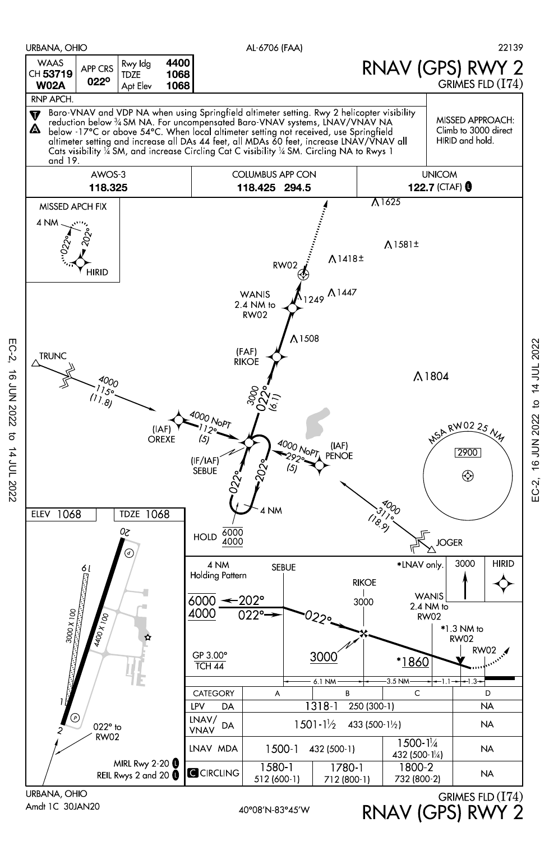

RNAV (GPS) RWY 2

Amdt 1C 30JAN20

 $EC-2$ 

16 JUN 2022

14 JUL 2022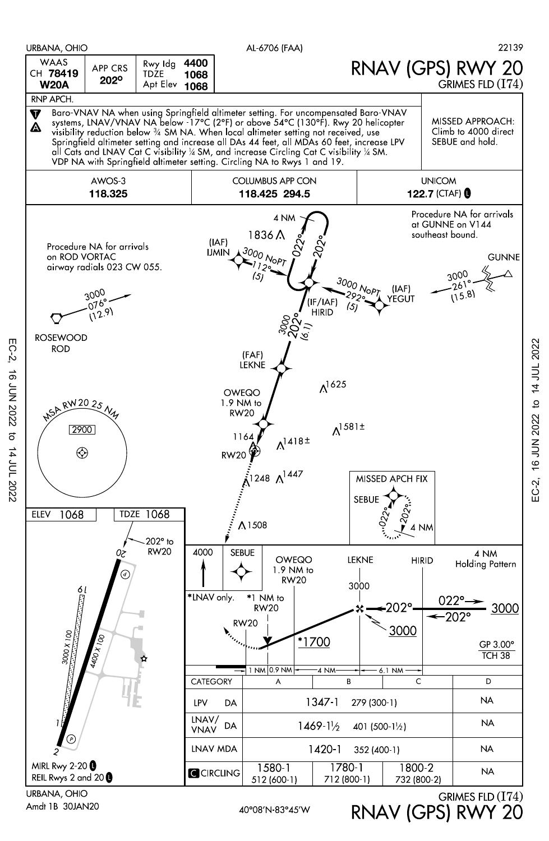

Amdt 1B 30JAN20

EC-2, 16 JUN 2022 to 14 JUL 2022

 $\vec{\sigma}$ 

14 JUL 2022

**16 JUN 2022** 

 $EC-2$ 

EC-2, 16 JUN 2022 to 14 JUL 2022

EC-2,

16 JUN 2022 to 14 JUL 2022